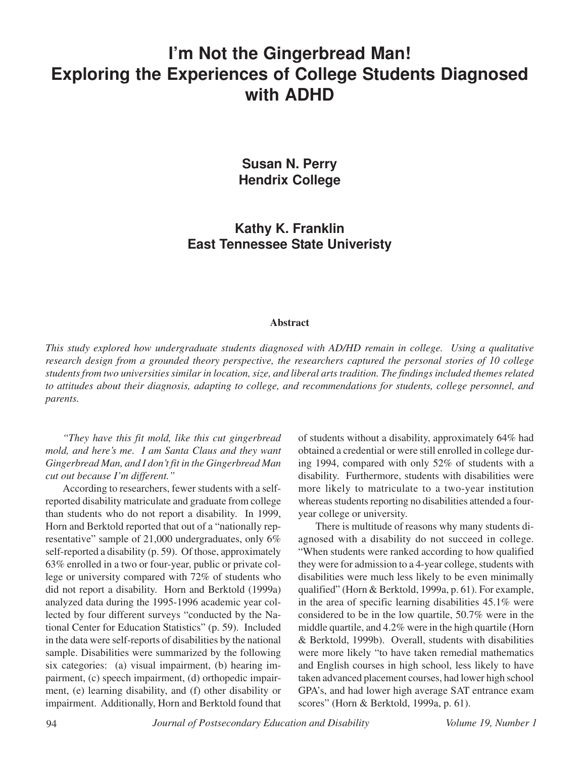# **I'm Not the Gingerbread Man! Exploring the Experiences of College Students Diagnosed with ADHD**

**Susan N. Perry Hendrix College**

**Kathy K. Franklin East Tennessee State Univeristy**

#### **Abstract**

*This study explored how undergraduate students diagnosed with AD/HD remain in college. Using a qualitative research design from a grounded theory perspective, the researchers captured the personal stories of 10 college students from two universities similar in location, size, and liberal arts tradition. The findings included themes related to attitudes about their diagnosis, adapting to college, and recommendations for students, college personnel, and parents.*

*"They have this fit mold, like this cut gingerbread mold, and here's me. I am Santa Claus and they want Gingerbread Man, and I don't fit in the Gingerbread Man cut out because I'm different."*

According to researchers, fewer students with a selfreported disability matriculate and graduate from college than students who do not report a disability. In 1999, Horn and Berktold reported that out of a "nationally representative" sample of 21,000 undergraduates, only 6% self-reported a disability (p. 59). Of those, approximately 63% enrolled in a two or four-year, public or private college or university compared with 72% of students who did not report a disability. Horn and Berktold (1999a) analyzed data during the 1995-1996 academic year collected by four different surveys "conducted by the National Center for Education Statistics" (p. 59). Included in the data were self-reports of disabilities by the national sample. Disabilities were summarized by the following six categories: (a) visual impairment, (b) hearing impairment, (c) speech impairment, (d) orthopedic impairment, (e) learning disability, and (f) other disability or impairment. Additionally, Horn and Berktold found that

of students without a disability, approximately 64% had obtained a credential or were still enrolled in college during 1994, compared with only 52% of students with a disability. Furthermore, students with disabilities were more likely to matriculate to a two-year institution whereas students reporting no disabilities attended a fouryear college or university.

There is multitude of reasons why many students diagnosed with a disability do not succeed in college. "When students were ranked according to how qualified they were for admission to a 4-year college, students with disabilities were much less likely to be even minimally qualified" (Horn & Berktold, 1999a, p. 61). For example, in the area of specific learning disabilities 45.1% were considered to be in the low quartile, 50.7% were in the middle quartile, and 4.2% were in the high quartile (Horn & Berktold, 1999b). Overall, students with disabilities were more likely "to have taken remedial mathematics and English courses in high school, less likely to have taken advanced placement courses, had lower high school GPA's, and had lower high average SAT entrance exam scores" (Horn & Berktold, 1999a, p. 61).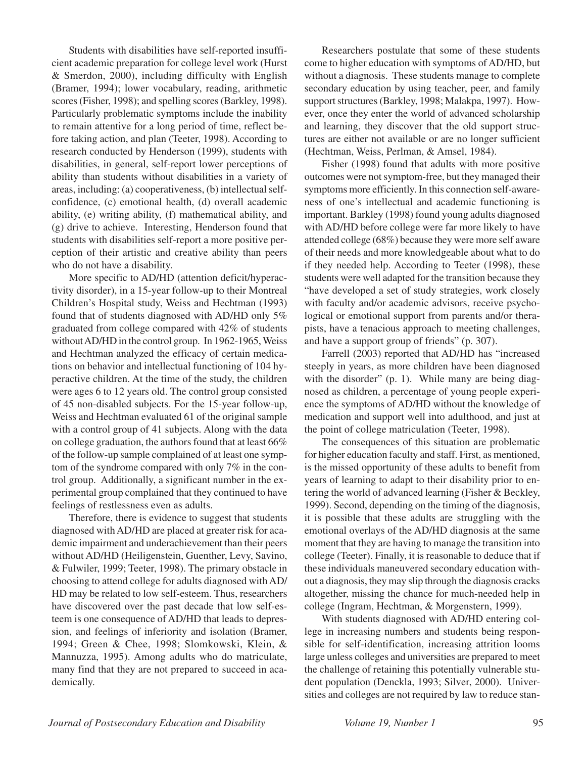Students with disabilities have self-reported insufficient academic preparation for college level work (Hurst & Smerdon, 2000), including difficulty with English (Bramer, 1994); lower vocabulary, reading, arithmetic scores (Fisher, 1998); and spelling scores (Barkley, 1998). Particularly problematic symptoms include the inability to remain attentive for a long period of time, reflect before taking action, and plan (Teeter, 1998). According to research conducted by Henderson (1999), students with disabilities, in general, self-report lower perceptions of ability than students without disabilities in a variety of areas, including: (a) cooperativeness, (b) intellectual selfconfidence, (c) emotional health, (d) overall academic ability, (e) writing ability, (f) mathematical ability, and (g) drive to achieve. Interesting, Henderson found that students with disabilities self-report a more positive perception of their artistic and creative ability than peers who do not have a disability.

More specific to AD/HD (attention deficit/hyperactivity disorder), in a 15-year follow-up to their Montreal Children's Hospital study, Weiss and Hechtman (1993) found that of students diagnosed with AD/HD only 5% graduated from college compared with 42% of students without AD/HD in the control group. In 1962-1965, Weiss and Hechtman analyzed the efficacy of certain medications on behavior and intellectual functioning of 104 hyperactive children. At the time of the study, the children were ages 6 to 12 years old. The control group consisted of 45 non-disabled subjects. For the 15-year follow-up, Weiss and Hechtman evaluated 61 of the original sample with a control group of 41 subjects. Along with the data on college graduation, the authors found that at least 66% of the follow-up sample complained of at least one symptom of the syndrome compared with only 7% in the control group. Additionally, a significant number in the experimental group complained that they continued to have feelings of restlessness even as adults.

Therefore, there is evidence to suggest that students diagnosed with AD/HD are placed at greater risk for academic impairment and underachievement than their peers without AD/HD (Heiligenstein, Guenther, Levy, Savino, & Fulwiler, 1999; Teeter, 1998). The primary obstacle in choosing to attend college for adults diagnosed with AD/ HD may be related to low self-esteem. Thus, researchers have discovered over the past decade that low self-esteem is one consequence of AD/HD that leads to depression, and feelings of inferiority and isolation (Bramer, 1994; Green & Chee, 1998; Slomkowski, Klein, & Mannuzza, 1995). Among adults who do matriculate, many find that they are not prepared to succeed in academically.

Researchers postulate that some of these students come to higher education with symptoms of AD/HD, but without a diagnosis. These students manage to complete secondary education by using teacher, peer, and family support structures (Barkley, 1998; Malakpa, 1997). However, once they enter the world of advanced scholarship and learning, they discover that the old support structures are either not available or are no longer sufficient (Hechtman, Weiss, Perlman, & Amsel, 1984).

Fisher (1998) found that adults with more positive outcomes were not symptom-free, but they managed their symptoms more efficiently. In this connection self-awareness of one's intellectual and academic functioning is important. Barkley (1998) found young adults diagnosed with AD/HD before college were far more likely to have attended college (68%) because they were more self aware of their needs and more knowledgeable about what to do if they needed help. According to Teeter (1998), these students were well adapted for the transition because they "have developed a set of study strategies, work closely with faculty and/or academic advisors, receive psychological or emotional support from parents and/or therapists, have a tenacious approach to meeting challenges, and have a support group of friends" (p. 307).

Farrell (2003) reported that AD/HD has "increased steeply in years, as more children have been diagnosed with the disorder" (p. 1). While many are being diagnosed as children, a percentage of young people experience the symptoms of AD/HD without the knowledge of medication and support well into adulthood, and just at the point of college matriculation (Teeter, 1998).

The consequences of this situation are problematic for higher education faculty and staff. First, as mentioned, is the missed opportunity of these adults to benefit from years of learning to adapt to their disability prior to entering the world of advanced learning (Fisher & Beckley, 1999). Second, depending on the timing of the diagnosis, it is possible that these adults are struggling with the emotional overlays of the AD/HD diagnosis at the same moment that they are having to manage the transition into college (Teeter). Finally, it is reasonable to deduce that if these individuals maneuvered secondary education without a diagnosis, they may slip through the diagnosis cracks altogether, missing the chance for much-needed help in college (Ingram, Hechtman, & Morgenstern, 1999).

With students diagnosed with AD/HD entering college in increasing numbers and students being responsible for self-identification, increasing attrition looms large unless colleges and universities are prepared to meet the challenge of retaining this potentially vulnerable student population (Denckla, 1993; Silver, 2000). Universities and colleges are not required by law to reduce stan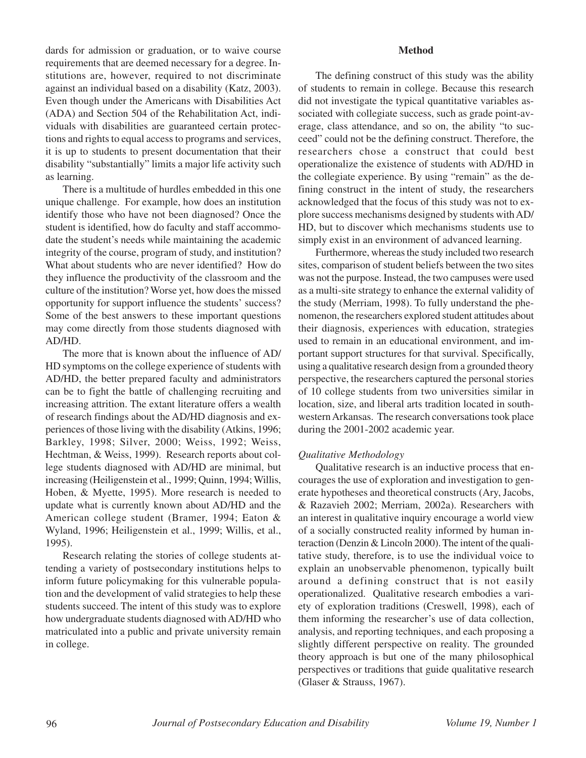dards for admission or graduation, or to waive course requirements that are deemed necessary for a degree. Institutions are, however, required to not discriminate against an individual based on a disability (Katz, 2003). Even though under the Americans with Disabilities Act (ADA) and Section 504 of the Rehabilitation Act, individuals with disabilities are guaranteed certain protections and rights to equal access to programs and services, it is up to students to present documentation that their disability "substantially" limits a major life activity such as learning.

There is a multitude of hurdles embedded in this one unique challenge. For example, how does an institution identify those who have not been diagnosed? Once the student is identified, how do faculty and staff accommodate the student's needs while maintaining the academic integrity of the course, program of study, and institution? What about students who are never identified? How do they influence the productivity of the classroom and the culture of the institution? Worse yet, how does the missed opportunity for support influence the students' success? Some of the best answers to these important questions may come directly from those students diagnosed with AD/HD.

The more that is known about the influence of AD/ HD symptoms on the college experience of students with AD/HD, the better prepared faculty and administrators can be to fight the battle of challenging recruiting and increasing attrition. The extant literature offers a wealth of research findings about the AD/HD diagnosis and experiences of those living with the disability (Atkins, 1996; Barkley, 1998; Silver, 2000; Weiss, 1992; Weiss, Hechtman, & Weiss, 1999). Research reports about college students diagnosed with AD/HD are minimal, but increasing (Heiligenstein et al., 1999; Quinn, 1994; Willis, Hoben, & Myette, 1995). More research is needed to update what is currently known about AD/HD and the American college student (Bramer, 1994; Eaton & Wyland, 1996; Heiligenstein et al., 1999; Willis, et al., 1995).

Research relating the stories of college students attending a variety of postsecondary institutions helps to inform future policymaking for this vulnerable population and the development of valid strategies to help these students succeed. The intent of this study was to explore how undergraduate students diagnosed with AD/HD who matriculated into a public and private university remain in college.

### **Method**

The defining construct of this study was the ability of students to remain in college. Because this research did not investigate the typical quantitative variables associated with collegiate success, such as grade point-average, class attendance, and so on, the ability "to succeed" could not be the defining construct. Therefore, the researchers chose a construct that could best operationalize the existence of students with AD/HD in the collegiate experience. By using "remain" as the defining construct in the intent of study, the researchers acknowledged that the focus of this study was not to explore success mechanisms designed by students with AD/ HD, but to discover which mechanisms students use to simply exist in an environment of advanced learning.

Furthermore, whereas the study included two research sites, comparison of student beliefs between the two sites was not the purpose. Instead, the two campuses were used as a multi-site strategy to enhance the external validity of the study (Merriam, 1998). To fully understand the phenomenon, the researchers explored student attitudes about their diagnosis, experiences with education, strategies used to remain in an educational environment, and important support structures for that survival. Specifically, using a qualitative research design from a grounded theory perspective, the researchers captured the personal stories of 10 college students from two universities similar in location, size, and liberal arts tradition located in southwestern Arkansas. The research conversations took place during the 2001-2002 academic year.

# *Qualitative Methodology*

Qualitative research is an inductive process that encourages the use of exploration and investigation to generate hypotheses and theoretical constructs (Ary, Jacobs, & Razavieh 2002; Merriam, 2002a). Researchers with an interest in qualitative inquiry encourage a world view of a socially constructed reality informed by human interaction (Denzin & Lincoln 2000). The intent of the qualitative study, therefore, is to use the individual voice to explain an unobservable phenomenon, typically built around a defining construct that is not easily operationalized. Qualitative research embodies a variety of exploration traditions (Creswell, 1998), each of them informing the researcher's use of data collection, analysis, and reporting techniques, and each proposing a slightly different perspective on reality. The grounded theory approach is but one of the many philosophical perspectives or traditions that guide qualitative research (Glaser & Strauss, 1967).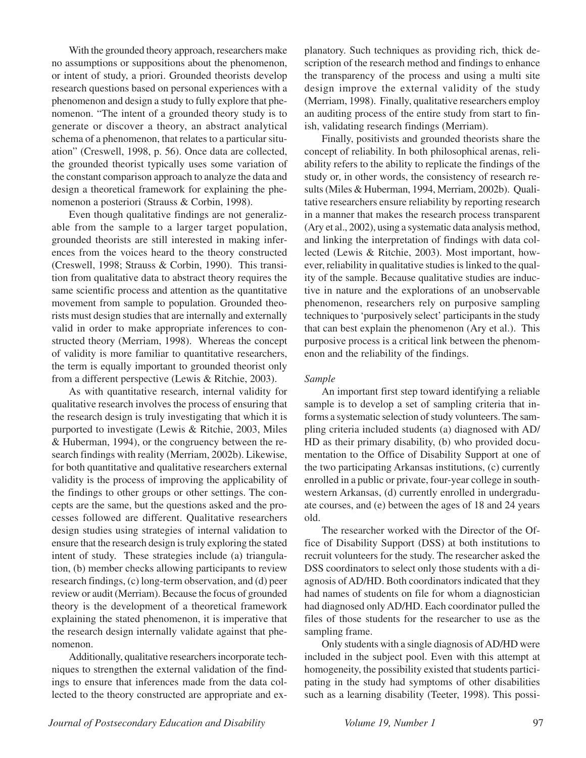With the grounded theory approach, researchers make no assumptions or suppositions about the phenomenon, or intent of study, a priori. Grounded theorists develop research questions based on personal experiences with a phenomenon and design a study to fully explore that phenomenon. "The intent of a grounded theory study is to generate or discover a theory, an abstract analytical schema of a phenomenon, that relates to a particular situation" (Creswell, 1998, p. 56). Once data are collected, the grounded theorist typically uses some variation of the constant comparison approach to analyze the data and design a theoretical framework for explaining the phenomenon a posteriori (Strauss & Corbin, 1998).

Even though qualitative findings are not generalizable from the sample to a larger target population, grounded theorists are still interested in making inferences from the voices heard to the theory constructed (Creswell, 1998; Strauss & Corbin, 1990). This transition from qualitative data to abstract theory requires the same scientific process and attention as the quantitative movement from sample to population. Grounded theorists must design studies that are internally and externally valid in order to make appropriate inferences to constructed theory (Merriam, 1998). Whereas the concept of validity is more familiar to quantitative researchers, the term is equally important to grounded theorist only from a different perspective (Lewis & Ritchie, 2003).

As with quantitative research, internal validity for qualitative research involves the process of ensuring that the research design is truly investigating that which it is purported to investigate (Lewis & Ritchie, 2003, Miles & Huberman, 1994), or the congruency between the research findings with reality (Merriam, 2002b). Likewise, for both quantitative and qualitative researchers external validity is the process of improving the applicability of the findings to other groups or other settings. The concepts are the same, but the questions asked and the processes followed are different. Qualitative researchers design studies using strategies of internal validation to ensure that the research design is truly exploring the stated intent of study. These strategies include (a) triangulation, (b) member checks allowing participants to review research findings, (c) long-term observation, and (d) peer review or audit (Merriam). Because the focus of grounded theory is the development of a theoretical framework explaining the stated phenomenon, it is imperative that the research design internally validate against that phenomenon.

Additionally, qualitative researchers incorporate techniques to strengthen the external validation of the findings to ensure that inferences made from the data collected to the theory constructed are appropriate and explanatory. Such techniques as providing rich, thick description of the research method and findings to enhance the transparency of the process and using a multi site design improve the external validity of the study (Merriam, 1998). Finally, qualitative researchers employ an auditing process of the entire study from start to finish, validating research findings (Merriam).

Finally, positivists and grounded theorists share the concept of reliability. In both philosophical arenas, reliability refers to the ability to replicate the findings of the study or, in other words, the consistency of research results (Miles & Huberman, 1994, Merriam, 2002b). Qualitative researchers ensure reliability by reporting research in a manner that makes the research process transparent (Ary et al., 2002), using a systematic data analysis method, and linking the interpretation of findings with data collected (Lewis & Ritchie, 2003). Most important, however, reliability in qualitative studies is linked to the quality of the sample. Because qualitative studies are inductive in nature and the explorations of an unobservable phenomenon, researchers rely on purposive sampling techniques to 'purposively select' participants in the study that can best explain the phenomenon (Ary et al.). This purposive process is a critical link between the phenomenon and the reliability of the findings.

## *Sample*

An important first step toward identifying a reliable sample is to develop a set of sampling criteria that informs a systematic selection of study volunteers. The sampling criteria included students (a) diagnosed with AD/ HD as their primary disability, (b) who provided documentation to the Office of Disability Support at one of the two participating Arkansas institutions, (c) currently enrolled in a public or private, four-year college in southwestern Arkansas, (d) currently enrolled in undergraduate courses, and (e) between the ages of 18 and 24 years old.

The researcher worked with the Director of the Office of Disability Support (DSS) at both institutions to recruit volunteers for the study. The researcher asked the DSS coordinators to select only those students with a diagnosis of AD/HD. Both coordinators indicated that they had names of students on file for whom a diagnostician had diagnosed only AD/HD. Each coordinator pulled the files of those students for the researcher to use as the sampling frame.

Only students with a single diagnosis of AD/HD were included in the subject pool. Even with this attempt at homogeneity, the possibility existed that students participating in the study had symptoms of other disabilities such as a learning disability (Teeter, 1998). This possi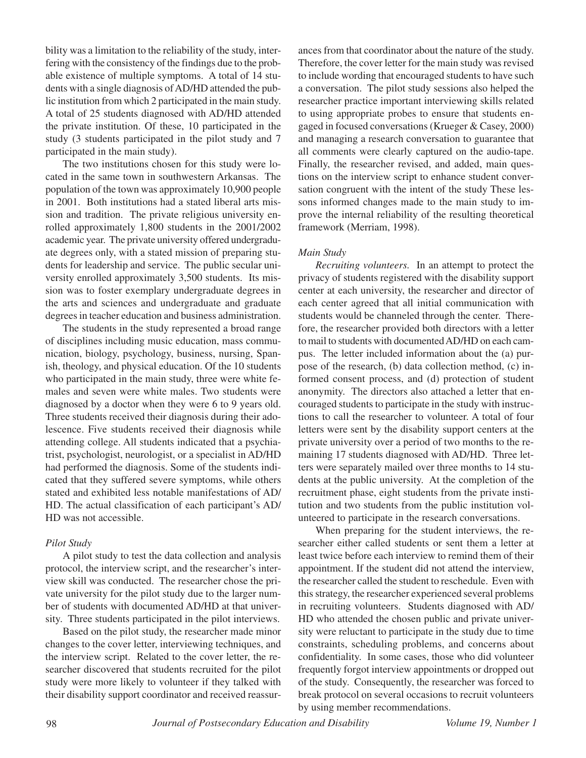bility was a limitation to the reliability of the study, interfering with the consistency of the findings due to the probable existence of multiple symptoms. A total of 14 students with a single diagnosis of AD/HD attended the public institution from which 2 participated in the main study. A total of 25 students diagnosed with AD/HD attended the private institution. Of these, 10 participated in the study (3 students participated in the pilot study and 7 participated in the main study).

The two institutions chosen for this study were located in the same town in southwestern Arkansas. The population of the town was approximately 10,900 people in 2001. Both institutions had a stated liberal arts mission and tradition. The private religious university enrolled approximately 1,800 students in the 2001/2002 academic year. The private university offered undergraduate degrees only, with a stated mission of preparing students for leadership and service. The public secular university enrolled approximately 3,500 students. Its mission was to foster exemplary undergraduate degrees in the arts and sciences and undergraduate and graduate degrees in teacher education and business administration.

The students in the study represented a broad range of disciplines including music education, mass communication, biology, psychology, business, nursing, Spanish, theology, and physical education. Of the 10 students who participated in the main study, three were white females and seven were white males. Two students were diagnosed by a doctor when they were 6 to 9 years old. Three students received their diagnosis during their adolescence. Five students received their diagnosis while attending college. All students indicated that a psychiatrist, psychologist, neurologist, or a specialist in AD/HD had performed the diagnosis. Some of the students indicated that they suffered severe symptoms, while others stated and exhibited less notable manifestations of AD/ HD. The actual classification of each participant's AD/ HD was not accessible.

# *Pilot Study*

A pilot study to test the data collection and analysis protocol, the interview script, and the researcher's interview skill was conducted. The researcher chose the private university for the pilot study due to the larger number of students with documented AD/HD at that university. Three students participated in the pilot interviews.

Based on the pilot study, the researcher made minor changes to the cover letter, interviewing techniques, and the interview script. Related to the cover letter, the researcher discovered that students recruited for the pilot study were more likely to volunteer if they talked with their disability support coordinator and received reassur-

ances from that coordinator about the nature of the study. Therefore, the cover letter for the main study was revised to include wording that encouraged students to have such a conversation. The pilot study sessions also helped the researcher practice important interviewing skills related to using appropriate probes to ensure that students engaged in focused conversations (Krueger & Casey, 2000) and managing a research conversation to guarantee that all comments were clearly captured on the audio-tape. Finally, the researcher revised, and added, main questions on the interview script to enhance student conversation congruent with the intent of the study These lessons informed changes made to the main study to improve the internal reliability of the resulting theoretical framework (Merriam, 1998).

# *Main Study*

*Recruiting volunteers.* In an attempt to protect the privacy of students registered with the disability support center at each university, the researcher and director of each center agreed that all initial communication with students would be channeled through the center. Therefore, the researcher provided both directors with a letter to mail to students with documented AD/HD on each campus. The letter included information about the (a) purpose of the research, (b) data collection method, (c) informed consent process, and (d) protection of student anonymity. The directors also attached a letter that encouraged students to participate in the study with instructions to call the researcher to volunteer. A total of four letters were sent by the disability support centers at the private university over a period of two months to the remaining 17 students diagnosed with AD/HD. Three letters were separately mailed over three months to 14 students at the public university. At the completion of the recruitment phase, eight students from the private institution and two students from the public institution volunteered to participate in the research conversations.

When preparing for the student interviews, the researcher either called students or sent them a letter at least twice before each interview to remind them of their appointment. If the student did not attend the interview, the researcher called the student to reschedule. Even with this strategy, the researcher experienced several problems in recruiting volunteers. Students diagnosed with AD/ HD who attended the chosen public and private university were reluctant to participate in the study due to time constraints, scheduling problems, and concerns about confidentiality. In some cases, those who did volunteer frequently forgot interview appointments or dropped out of the study. Consequently, the researcher was forced to break protocol on several occasions to recruit volunteers by using member recommendations.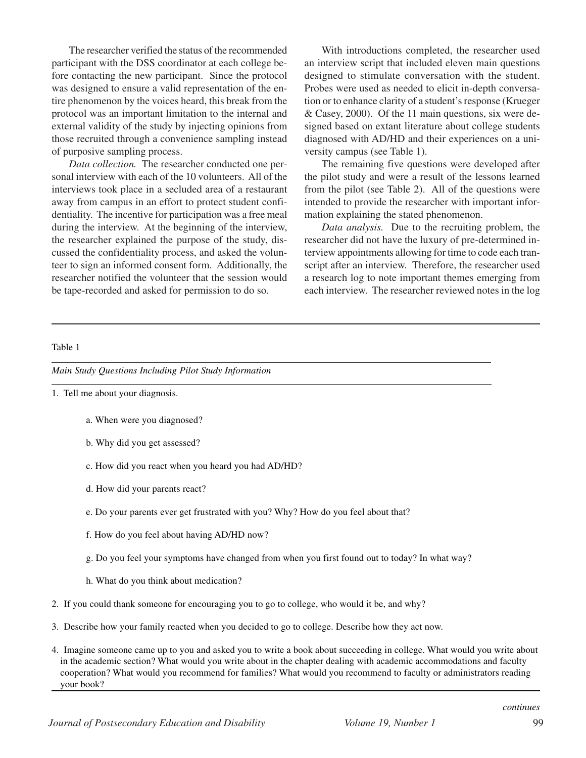The researcher verified the status of the recommended participant with the DSS coordinator at each college before contacting the new participant. Since the protocol was designed to ensure a valid representation of the entire phenomenon by the voices heard, this break from the protocol was an important limitation to the internal and external validity of the study by injecting opinions from those recruited through a convenience sampling instead of purposive sampling process.

*Data collection.* The researcher conducted one personal interview with each of the 10 volunteers. All of the interviews took place in a secluded area of a restaurant away from campus in an effort to protect student confidentiality. The incentive for participation was a free meal during the interview. At the beginning of the interview, the researcher explained the purpose of the study, discussed the confidentiality process, and asked the volunteer to sign an informed consent form. Additionally, the researcher notified the volunteer that the session would be tape-recorded and asked for permission to do so.

With introductions completed, the researcher used an interview script that included eleven main questions designed to stimulate conversation with the student. Probes were used as needed to elicit in-depth conversation or to enhance clarity of a student's response (Krueger & Casey, 2000). Of the 11 main questions, six were designed based on extant literature about college students diagnosed with AD/HD and their experiences on a university campus (see Table 1).

The remaining five questions were developed after the pilot study and were a result of the lessons learned from the pilot (see Table 2). All of the questions were intended to provide the researcher with important information explaining the stated phenomenon.

*Data analysis.* Due to the recruiting problem, the researcher did not have the luxury of pre-determined interview appointments allowing for time to code each transcript after an interview. Therefore, the researcher used a research log to note important themes emerging from each interview. The researcher reviewed notes in the log

## Table 1

*Main Study Questions Including Pilot Study Information*

- 1. Tell me about your diagnosis.
	- a. When were you diagnosed?
	- b. Why did you get assessed?
	- c. How did you react when you heard you had AD/HD?
	- d. How did your parents react?
	- e. Do your parents ever get frustrated with you? Why? How do you feel about that?
	- f. How do you feel about having AD/HD now?
	- g. Do you feel your symptoms have changed from when you first found out to today? In what way?
	- h. What do you think about medication?
- 2. If you could thank someone for encouraging you to go to college, who would it be, and why?
- 3. Describe how your family reacted when you decided to go to college. Describe how they act now.
- 4. Imagine someone came up to you and asked you to write a book about succeeding in college. What would you write about in the academic section? What would you write about in the chapter dealing with academic accommodations and faculty cooperation? What would you recommend for families? What would you recommend to faculty or administrators reading your book?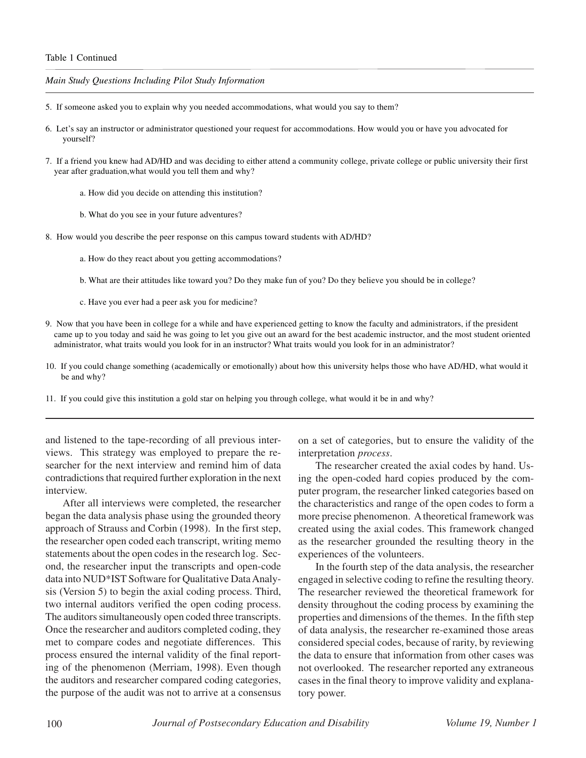#### Table 1 Continued

*Main Study Questions Including Pilot Study Information*

- 5. If someone asked you to explain why you needed accommodations, what would you say to them?
- 6. Let's say an instructor or administrator questioned your request for accommodations. How would you or have you advocated for yourself?
- 7. If a friend you knew had AD/HD and was deciding to either attend a community college, private college or public university their first year after graduation,what would you tell them and why?
	- a. How did you decide on attending this institution?
	- b. What do you see in your future adventures?
- 8. How would you describe the peer response on this campus toward students with AD/HD?
	- a. How do they react about you getting accommodations?
	- b. What are their attitudes like toward you? Do they make fun of you? Do they believe you should be in college?
	- c. Have you ever had a peer ask you for medicine?
- 9. Now that you have been in college for a while and have experienced getting to know the faculty and administrators, if the president came up to you today and said he was going to let you give out an award for the best academic instructor, and the most student oriented administrator, what traits would you look for in an instructor? What traits would you look for in an administrator?
- 10. If you could change something (academically or emotionally) about how this university helps those who have AD/HD, what would it be and why?
- 11. If you could give this institution a gold star on helping you through college, what would it be in and why?

and listened to the tape-recording of all previous interviews. This strategy was employed to prepare the researcher for the next interview and remind him of data contradictions that required further exploration in the next interview.

After all interviews were completed, the researcher began the data analysis phase using the grounded theory approach of Strauss and Corbin (1998). In the first step, the researcher open coded each transcript, writing memo statements about the open codes in the research log. Second, the researcher input the transcripts and open-code data into NUD\*IST Software for Qualitative Data Analysis (Version 5) to begin the axial coding process. Third, two internal auditors verified the open coding process. The auditors simultaneously open coded three transcripts. Once the researcher and auditors completed coding, they met to compare codes and negotiate differences. This process ensured the internal validity of the final reporting of the phenomenon (Merriam, 1998). Even though the auditors and researcher compared coding categories, the purpose of the audit was not to arrive at a consensus

on a set of categories, but to ensure the validity of the interpretation *process*.

The researcher created the axial codes by hand. Using the open-coded hard copies produced by the computer program, the researcher linked categories based on the characteristics and range of the open codes to form a more precise phenomenon. A theoretical framework was created using the axial codes. This framework changed as the researcher grounded the resulting theory in the experiences of the volunteers.

In the fourth step of the data analysis, the researcher engaged in selective coding to refine the resulting theory. The researcher reviewed the theoretical framework for density throughout the coding process by examining the properties and dimensions of the themes. In the fifth step of data analysis, the researcher re-examined those areas considered special codes, because of rarity, by reviewing the data to ensure that information from other cases was not overlooked. The researcher reported any extraneous cases in the final theory to improve validity and explanatory power.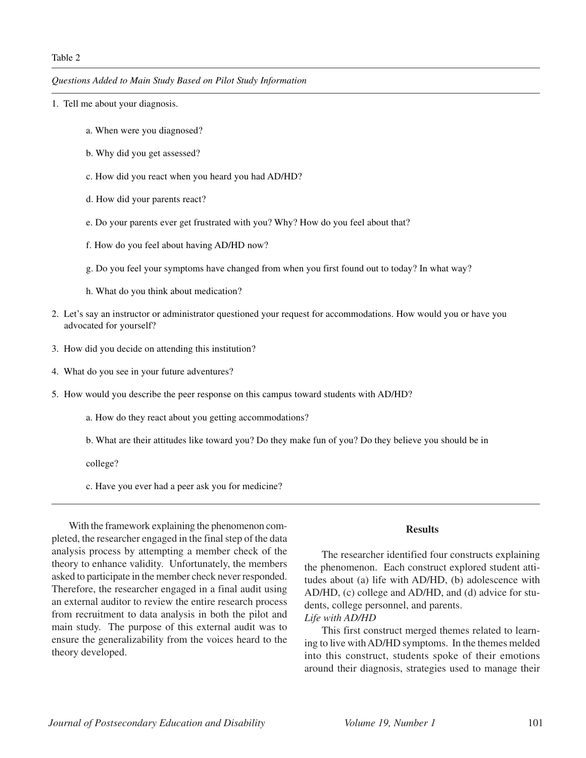*Questions Added to Main Study Based on Pilot Study Information*

- 1. Tell me about your diagnosis.
	- a. When were you diagnosed?
	- b. Why did you get assessed?
	- c. How did you react when you heard you had AD/HD?
	- d. How did your parents react?
	- e. Do your parents ever get frustrated with you? Why? How do you feel about that?
	- f. How do you feel about having AD/HD now?
	- g. Do you feel your symptoms have changed from when you first found out to today? In what way?
	- h. What do you think about medication?
- 2. Let's say an instructor or administrator questioned your request for accommodations. How would you or have you advocated for yourself?
- 3. How did you decide on attending this institution?
- 4. What do you see in your future adventures?
- 5. How would you describe the peer response on this campus toward students with AD/HD?
	- a. How do they react about you getting accommodations?
	- b. What are their attitudes like toward you? Do they make fun of you? Do they believe you should be in

college?

c. Have you ever had a peer ask you for medicine?

With the framework explaining the phenomenon completed, the researcher engaged in the final step of the data analysis process by attempting a member check of the theory to enhance validity. Unfortunately, the members asked to participate in the member check never responded. Therefore, the researcher engaged in a final audit using an external auditor to review the entire research process from recruitment to data analysis in both the pilot and main study. The purpose of this external audit was to ensure the generalizability from the voices heard to the theory developed.

#### **Results**

The researcher identified four constructs explaining the phenomenon. Each construct explored student attitudes about (a) life with AD/HD, (b) adolescence with AD/HD, (c) college and AD/HD, and (d) advice for students, college personnel, and parents. *Life with AD/HD*

This first construct merged themes related to learning to live with AD/HD symptoms. In the themes melded into this construct, students spoke of their emotions around their diagnosis, strategies used to manage their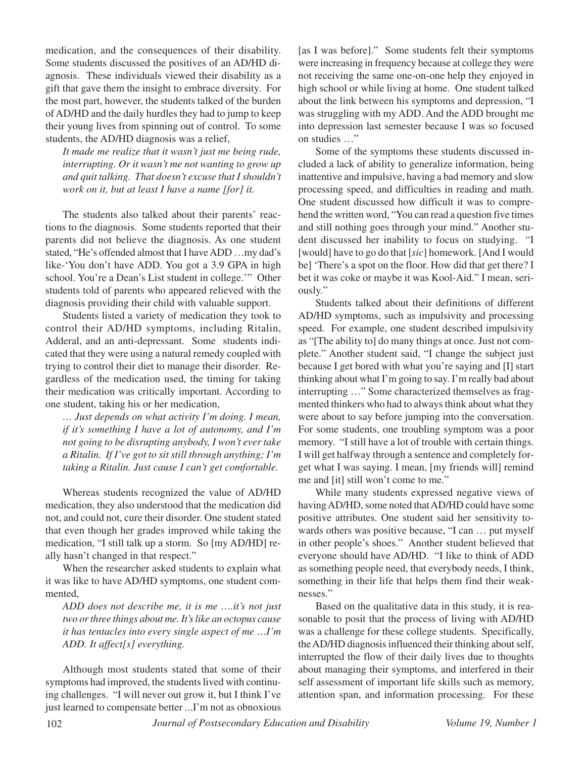medication, and the consequences of their disability. Some students discussed the positives of an AD/HD diagnosis. These individuals viewed their disability as a gift that gave them the insight to embrace diversity. For the most part, however, the students talked of the burden of AD/HD and the daily hurdles they had to jump to keep their young lives from spinning out of control. To some students, the AD/HD diagnosis was a relief,

*It made me realize that it wasn't just me being rude, interrupting. Or it wasn't me not wanting to grow up and quit talking. That doesn't excuse that I shouldn't work on it, but at least I have a name [for] it.*

The students also talked about their parents' reactions to the diagnosis. Some students reported that their parents did not believe the diagnosis. As one student stated, "He's offended almost that I have ADD …my dad's like-'You don't have ADD. You got a 3.9 GPA in high school. You're a Dean's List student in college.'" Other students told of parents who appeared relieved with the diagnosis providing their child with valuable support.

Students listed a variety of medication they took to control their AD/HD symptoms, including Ritalin, Adderal, and an anti-depressant. Some students indicated that they were using a natural remedy coupled with trying to control their diet to manage their disorder. Regardless of the medication used, the timing for taking their medication was critically important. According to one student, taking his or her medication,

*… Just depends on what activity I'm doing. I mean, if it's something I have a lot of autonomy, and I'm not going to be disrupting anybody, I won't ever take a Ritalin. If I've got to sit still through anything; I'm taking a Ritalin. Just cause I can't get comfortable.*

Whereas students recognized the value of AD/HD medication, they also understood that the medication did not, and could not, cure their disorder. One student stated that even though her grades improved while taking the medication, "I still talk up a storm. So [my AD/HD] really hasn't changed in that respect."

When the researcher asked students to explain what it was like to have AD/HD symptoms, one student commented,

*ADD does not describe me, it is me ….it's not just two or three things about me. It's like an octopus cause it has tentacles into every single aspect of me …I'm ADD. It affect[s] everything.*

Although most students stated that some of their symptoms had improved, the students lived with continuing challenges. "I will never out grow it, but I think I've just learned to compensate better ...I'm not as obnoxious

[as I was before]." Some students felt their symptoms were increasing in frequency because at college they were not receiving the same one-on-one help they enjoyed in high school or while living at home. One student talked about the link between his symptoms and depression, "I was struggling with my ADD. And the ADD brought me into depression last semester because I was so focused on studies …"

Some of the symptoms these students discussed included a lack of ability to generalize information, being inattentive and impulsive, having a bad memory and slow processing speed, and difficulties in reading and math. One student discussed how difficult it was to comprehend the written word, "You can read a question five times and still nothing goes through your mind." Another student discussed her inability to focus on studying. "I [would] have to go do that [*sic*] homework. [And I would be] 'There's a spot on the floor. How did that get there? I bet it was coke or maybe it was Kool-Aid." I mean, seriously."

Students talked about their definitions of different AD/HD symptoms, such as impulsivity and processing speed. For example, one student described impulsivity as "[The ability to] do many things at once. Just not complete." Another student said, "I change the subject just because I get bored with what you're saying and [I] start thinking about what I'm going to say. I'm really bad about interrupting …" Some characterized themselves as fragmented thinkers who had to always think about what they were about to say before jumping into the conversation. For some students, one troubling symptom was a poor memory. "I still have a lot of trouble with certain things. I will get halfway through a sentence and completely forget what I was saying. I mean, [my friends will] remind me and [it] still won't come to me."

While many students expressed negative views of having AD/HD, some noted that AD/HD could have some positive attributes. One student said her sensitivity towards others was positive because, "I can … put myself in other people's shoes." Another student believed that everyone should have AD/HD. "I like to think of ADD as something people need, that everybody needs, I think, something in their life that helps them find their weaknesses."

Based on the qualitative data in this study, it is reasonable to posit that the process of living with AD/HD was a challenge for these college students. Specifically, the AD/HD diagnosis influenced their thinking about self, interrupted the flow of their daily lives due to thoughts about managing their symptoms, and interfered in their self assessment of important life skills such as memory, attention span, and information processing. For these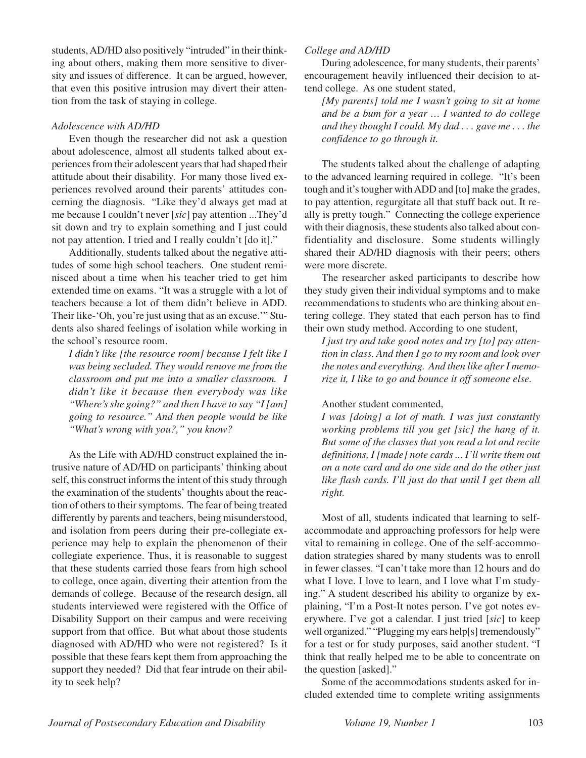students, AD/HD also positively "intruded" in their thinking about others, making them more sensitive to diversity and issues of difference. It can be argued, however, that even this positive intrusion may divert their attention from the task of staying in college.

# *Adolescence with AD/HD*

Even though the researcher did not ask a question about adolescence, almost all students talked about experiences from their adolescent years that had shaped their attitude about their disability. For many those lived experiences revolved around their parents' attitudes concerning the diagnosis. "Like they'd always get mad at me because I couldn't never [*sic*] pay attention ...They'd sit down and try to explain something and I just could not pay attention. I tried and I really couldn't [do it]."

Additionally, students talked about the negative attitudes of some high school teachers. One student reminisced about a time when his teacher tried to get him extended time on exams. "It was a struggle with a lot of teachers because a lot of them didn't believe in ADD. Their like-'Oh, you're just using that as an excuse.'" Students also shared feelings of isolation while working in the school's resource room.

*I didn't like [the resource room] because I felt like I was being secluded. They would remove me from the classroom and put me into a smaller classroom. I didn't like it because then everybody was like "Where's she going?" and then I have to say "I [am] going to resource." And then people would be like "What's wrong with you?," you know?*

As the Life with AD/HD construct explained the intrusive nature of AD/HD on participants' thinking about self, this construct informs the intent of this study through the examination of the students' thoughts about the reaction of others to their symptoms. The fear of being treated differently by parents and teachers, being misunderstood, and isolation from peers during their pre-collegiate experience may help to explain the phenomenon of their collegiate experience. Thus, it is reasonable to suggest that these students carried those fears from high school to college, once again, diverting their attention from the demands of college. Because of the research design, all students interviewed were registered with the Office of Disability Support on their campus and were receiving support from that office. But what about those students diagnosed with AD/HD who were not registered? Is it possible that these fears kept them from approaching the support they needed? Did that fear intrude on their ability to seek help?

# *College and AD/HD*

During adolescence, for many students, their parents' encouragement heavily influenced their decision to attend college. As one student stated,

*[My parents] told me I wasn't going to sit at home and be a bum for a year … I wanted to do college and they thought I could. My dad . . . gave me . . . the confidence to go through it.*

The students talked about the challenge of adapting to the advanced learning required in college. "It's been tough and it's tougher with ADD and [to] make the grades, to pay attention, regurgitate all that stuff back out. It really is pretty tough." Connecting the college experience with their diagnosis, these students also talked about confidentiality and disclosure. Some students willingly shared their AD/HD diagnosis with their peers; others were more discrete.

The researcher asked participants to describe how they study given their individual symptoms and to make recommendations to students who are thinking about entering college. They stated that each person has to find their own study method. According to one student,

*I just try and take good notes and try [to] pay attention in class. And then I go to my room and look over the notes and everything. And then like after I memorize it, I like to go and bounce it off someone else.*

## Another student commented,

*I was [doing] a lot of math. I was just constantly working problems till you get [sic] the hang of it. But some of the classes that you read a lot and recite definitions, I [made] note cards ... I'll write them out on a note card and do one side and do the other just like flash cards. I'll just do that until I get them all right.*

Most of all, students indicated that learning to selfaccommodate and approaching professors for help were vital to remaining in college. One of the self-accommodation strategies shared by many students was to enroll in fewer classes. "I can't take more than 12 hours and do what I love. I love to learn, and I love what I'm studying." A student described his ability to organize by explaining, "I'm a Post-It notes person. I've got notes everywhere. I've got a calendar. I just tried [*sic*] to keep well organized." "Plugging my ears help[s] tremendously" for a test or for study purposes, said another student. "I think that really helped me to be able to concentrate on the question [asked]."

Some of the accommodations students asked for included extended time to complete writing assignments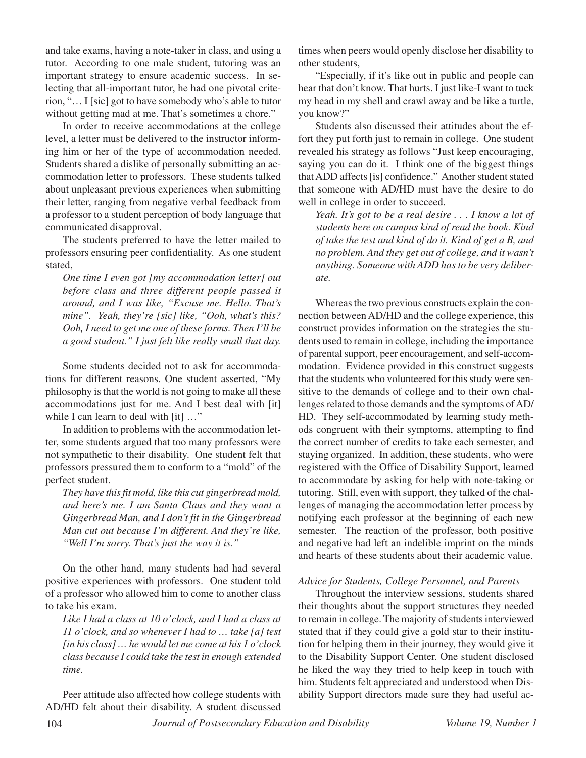and take exams, having a note-taker in class, and using a tutor. According to one male student, tutoring was an important strategy to ensure academic success. In selecting that all-important tutor, he had one pivotal criterion, "… I [sic] got to have somebody who's able to tutor without getting mad at me. That's sometimes a chore."

In order to receive accommodations at the college level, a letter must be delivered to the instructor informing him or her of the type of accommodation needed. Students shared a dislike of personally submitting an accommodation letter to professors. These students talked about unpleasant previous experiences when submitting their letter, ranging from negative verbal feedback from a professor to a student perception of body language that communicated disapproval.

The students preferred to have the letter mailed to professors ensuring peer confidentiality. As one student stated,

*One time I even got [my accommodation letter] out before class and three different people passed it around, and I was like, "Excuse me. Hello. That's mine". Yeah, they're [sic] like, "Ooh, what's this? Ooh, I need to get me one of these forms. Then I'll be a good student." I just felt like really small that day.*

Some students decided not to ask for accommodations for different reasons. One student asserted, "My philosophy is that the world is not going to make all these accommodations just for me. And I best deal with [it] while I can learn to deal with [it] ..."

In addition to problems with the accommodation letter, some students argued that too many professors were not sympathetic to their disability. One student felt that professors pressured them to conform to a "mold" of the perfect student.

*They have this fit mold, like this cut gingerbread mold, and here's me. I am Santa Claus and they want a Gingerbread Man, and I don't fit in the Gingerbread Man cut out because I'm different. And they're like, "Well I'm sorry. That's just the way it is."*

On the other hand, many students had had several positive experiences with professors. One student told of a professor who allowed him to come to another class to take his exam.

*Like I had a class at 10 o'clock, and I had a class at 11 o'clock, and so whenever I had to … take [a] test [in his class] … he would let me come at his 1 o'clock class because I could take the test in enough extended time.*

Peer attitude also affected how college students with AD/HD felt about their disability. A student discussed times when peers would openly disclose her disability to other students,

"Especially, if it's like out in public and people can hear that don't know. That hurts. I just like-I want to tuck my head in my shell and crawl away and be like a turtle, you know?"

Students also discussed their attitudes about the effort they put forth just to remain in college. One student revealed his strategy as follows "Just keep encouraging, saying you can do it. I think one of the biggest things that ADD affects [is] confidence." Another student stated that someone with AD/HD must have the desire to do well in college in order to succeed.

*Yeah. It's got to be a real desire . . . I know a lot of students here on campus kind of read the book. Kind of take the test and kind of do it. Kind of get a B, and no problem. And they get out of college, and it wasn't anything. Someone with ADD has to be very deliberate.*

Whereas the two previous constructs explain the connection between AD/HD and the college experience, this construct provides information on the strategies the students used to remain in college, including the importance of parental support, peer encouragement, and self-accommodation. Evidence provided in this construct suggests that the students who volunteered for this study were sensitive to the demands of college and to their own challenges related to those demands and the symptoms of AD/ HD. They self-accommodated by learning study methods congruent with their symptoms, attempting to find the correct number of credits to take each semester, and staying organized. In addition, these students, who were registered with the Office of Disability Support, learned to accommodate by asking for help with note-taking or tutoring. Still, even with support, they talked of the challenges of managing the accommodation letter process by notifying each professor at the beginning of each new semester. The reaction of the professor, both positive and negative had left an indelible imprint on the minds and hearts of these students about their academic value.

## *Advice for Students, College Personnel, and Parents*

Throughout the interview sessions, students shared their thoughts about the support structures they needed to remain in college. The majority of students interviewed stated that if they could give a gold star to their institution for helping them in their journey, they would give it to the Disability Support Center. One student disclosed he liked the way they tried to help keep in touch with him. Students felt appreciated and understood when Disability Support directors made sure they had useful ac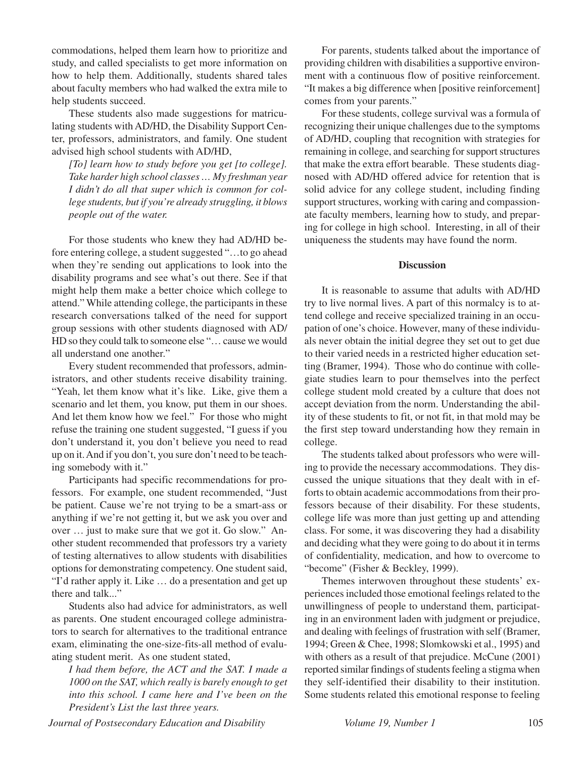commodations, helped them learn how to prioritize and study, and called specialists to get more information on how to help them. Additionally, students shared tales about faculty members who had walked the extra mile to help students succeed.

These students also made suggestions for matriculating students with AD/HD, the Disability Support Center, professors, administrators, and family. One student advised high school students with AD/HD,

*[To] learn how to study before you get [to college]. Take harder high school classes … My freshman year I didn't do all that super which is common for college students, but if you're already struggling, it blows people out of the water.*

For those students who knew they had AD/HD before entering college, a student suggested "…to go ahead when they're sending out applications to look into the disability programs and see what's out there. See if that might help them make a better choice which college to attend." While attending college, the participants in these research conversations talked of the need for support group sessions with other students diagnosed with AD/ HD so they could talk to someone else "… cause we would all understand one another."

Every student recommended that professors, administrators, and other students receive disability training. "Yeah, let them know what it's like. Like, give them a scenario and let them, you know, put them in our shoes. And let them know how we feel." For those who might refuse the training one student suggested, "I guess if you don't understand it, you don't believe you need to read up on it. And if you don't, you sure don't need to be teaching somebody with it."

Participants had specific recommendations for professors. For example, one student recommended, "Just be patient. Cause we're not trying to be a smart-ass or anything if we're not getting it, but we ask you over and over … just to make sure that we got it. Go slow." Another student recommended that professors try a variety of testing alternatives to allow students with disabilities options for demonstrating competency. One student said, "I'd rather apply it. Like … do a presentation and get up there and talk..."

Students also had advice for administrators, as well as parents. One student encouraged college administrators to search for alternatives to the traditional entrance exam, eliminating the one-size-fits-all method of evaluating student merit. As one student stated,

*I had them before, the ACT and the SAT. I made a 1000 on the SAT, which really is barely enough to get into this school. I came here and I've been on the President's List the last three years.*

For parents, students talked about the importance of providing children with disabilities a supportive environment with a continuous flow of positive reinforcement. "It makes a big difference when [positive reinforcement] comes from your parents."

For these students, college survival was a formula of recognizing their unique challenges due to the symptoms of AD/HD, coupling that recognition with strategies for remaining in college, and searching for support structures that make the extra effort bearable. These students diagnosed with AD/HD offered advice for retention that is solid advice for any college student, including finding support structures, working with caring and compassionate faculty members, learning how to study, and preparing for college in high school. Interesting, in all of their uniqueness the students may have found the norm.

#### **Discussion**

It is reasonable to assume that adults with AD/HD try to live normal lives. A part of this normalcy is to attend college and receive specialized training in an occupation of one's choice. However, many of these individuals never obtain the initial degree they set out to get due to their varied needs in a restricted higher education setting (Bramer, 1994). Those who do continue with collegiate studies learn to pour themselves into the perfect college student mold created by a culture that does not accept deviation from the norm. Understanding the ability of these students to fit, or not fit, in that mold may be the first step toward understanding how they remain in college.

The students talked about professors who were willing to provide the necessary accommodations. They discussed the unique situations that they dealt with in efforts to obtain academic accommodations from their professors because of their disability. For these students, college life was more than just getting up and attending class. For some, it was discovering they had a disability and deciding what they were going to do about it in terms of confidentiality, medication, and how to overcome to "become" (Fisher & Beckley, 1999).

Themes interwoven throughout these students' experiences included those emotional feelings related to the unwillingness of people to understand them, participating in an environment laden with judgment or prejudice, and dealing with feelings of frustration with self (Bramer, 1994; Green & Chee, 1998; Slomkowski et al., 1995) and with others as a result of that prejudice. McCune (2001) reported similar findings of students feeling a stigma when they self-identified their disability to their institution. Some students related this emotional response to feeling

*Journal of Postsecondary Education and Disability Volume 19, Number 1* 105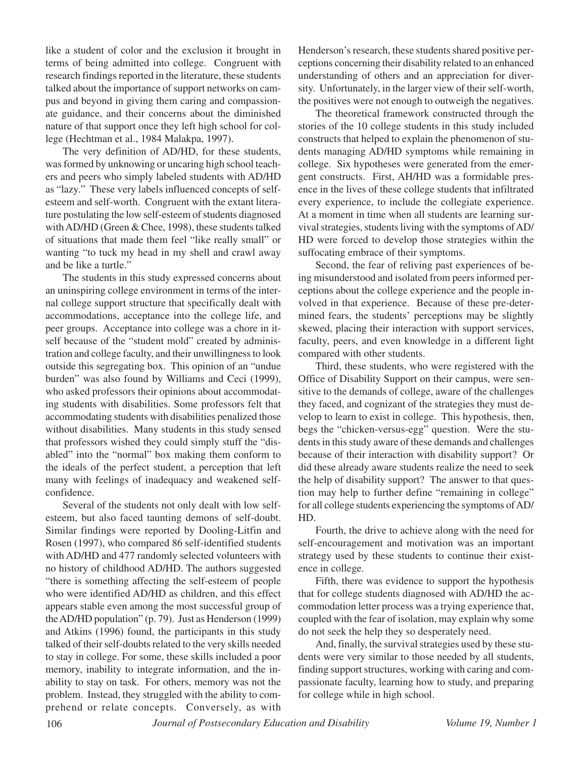like a student of color and the exclusion it brought in terms of being admitted into college. Congruent with research findings reported in the literature, these students talked about the importance of support networks on campus and beyond in giving them caring and compassionate guidance, and their concerns about the diminished nature of that support once they left high school for college (Hechtman et al., 1984 Malakpa, 1997).

The very definition of AD/HD, for these students, was formed by unknowing or uncaring high school teachers and peers who simply labeled students with AD/HD as "lazy." These very labels influenced concepts of selfesteem and self-worth. Congruent with the extant literature postulating the low self-esteem of students diagnosed with AD/HD (Green & Chee, 1998), these students talked of situations that made them feel "like really small" or wanting "to tuck my head in my shell and crawl away and be like a turtle."

The students in this study expressed concerns about an uninspiring college environment in terms of the internal college support structure that specifically dealt with accommodations, acceptance into the college life, and peer groups. Acceptance into college was a chore in itself because of the "student mold" created by administration and college faculty, and their unwillingness to look outside this segregating box. This opinion of an "undue burden" was also found by Williams and Ceci (1999), who asked professors their opinions about accommodating students with disabilities. Some professors felt that accommodating students with disabilities penalized those without disabilities. Many students in this study sensed that professors wished they could simply stuff the "disabled" into the "normal" box making them conform to the ideals of the perfect student, a perception that left many with feelings of inadequacy and weakened selfconfidence.

Several of the students not only dealt with low selfesteem, but also faced taunting demons of self-doubt. Similar findings were reported by Dooling-Litfin and Rosen (1997), who compared 86 self-identified students with AD/HD and 477 randomly selected volunteers with no history of childhood AD/HD. The authors suggested "there is something affecting the self-esteem of people who were identified AD/HD as children, and this effect appears stable even among the most successful group of the AD/HD population" (p. 79). Just as Henderson (1999) and Atkins (1996) found, the participants in this study talked of their self-doubts related to the very skills needed to stay in college. For some, these skills included a poor memory, inability to integrate information, and the inability to stay on task. For others, memory was not the problem. Instead, they struggled with the ability to comprehend or relate concepts. Conversely, as with

Henderson's research, these students shared positive perceptions concerning their disability related to an enhanced understanding of others and an appreciation for diversity. Unfortunately, in the larger view of their self-worth, the positives were not enough to outweigh the negatives.

The theoretical framework constructed through the stories of the 10 college students in this study included constructs that helped to explain the phenomenon of students managing AD/HD symptoms while remaining in college. Six hypotheses were generated from the emergent constructs. First, AH/HD was a formidable presence in the lives of these college students that infiltrated every experience, to include the collegiate experience. At a moment in time when all students are learning survival strategies, students living with the symptoms of AD/ HD were forced to develop those strategies within the suffocating embrace of their symptoms.

Second, the fear of reliving past experiences of being misunderstood and isolated from peers informed perceptions about the college experience and the people involved in that experience. Because of these pre-determined fears, the students' perceptions may be slightly skewed, placing their interaction with support services, faculty, peers, and even knowledge in a different light compared with other students.

Third, these students, who were registered with the Office of Disability Support on their campus, were sensitive to the demands of college, aware of the challenges they faced, and cognizant of the strategies they must develop to learn to exist in college. This hypothesis, then, begs the "chicken-versus-egg" question. Were the students in this study aware of these demands and challenges because of their interaction with disability support? Or did these already aware students realize the need to seek the help of disability support? The answer to that question may help to further define "remaining in college" for all college students experiencing the symptoms of AD/ HD.

Fourth, the drive to achieve along with the need for self-encouragement and motivation was an important strategy used by these students to continue their existence in college.

Fifth, there was evidence to support the hypothesis that for college students diagnosed with AD/HD the accommodation letter process was a trying experience that, coupled with the fear of isolation, may explain why some do not seek the help they so desperately need.

And, finally, the survival strategies used by these students were very similar to those needed by all students, finding support structures, working with caring and compassionate faculty, learning how to study, and preparing for college while in high school.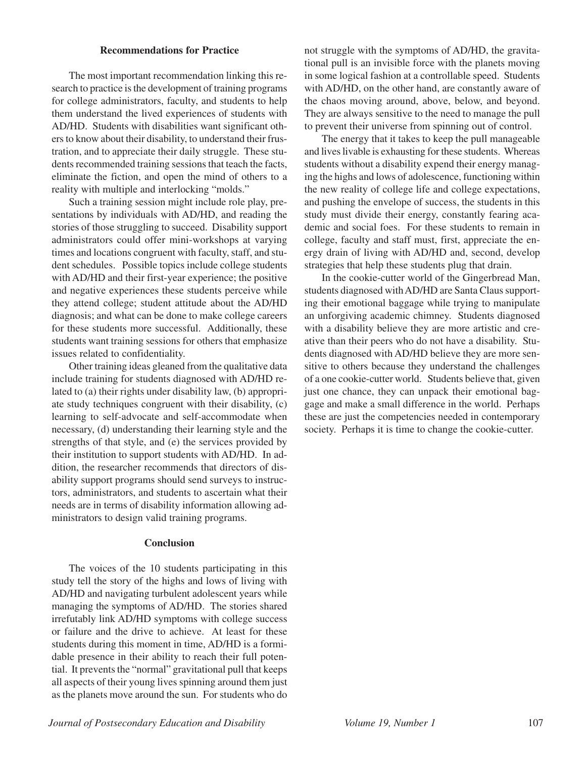#### **Recommendations for Practice**

The most important recommendation linking this research to practice is the development of training programs for college administrators, faculty, and students to help them understand the lived experiences of students with AD/HD. Students with disabilities want significant others to know about their disability, to understand their frustration, and to appreciate their daily struggle. These students recommended training sessions that teach the facts, eliminate the fiction, and open the mind of others to a reality with multiple and interlocking "molds."

Such a training session might include role play, presentations by individuals with AD/HD, and reading the stories of those struggling to succeed. Disability support administrators could offer mini-workshops at varying times and locations congruent with faculty, staff, and student schedules. Possible topics include college students with AD/HD and their first-year experience; the positive and negative experiences these students perceive while they attend college; student attitude about the AD/HD diagnosis; and what can be done to make college careers for these students more successful. Additionally, these students want training sessions for others that emphasize issues related to confidentiality.

Other training ideas gleaned from the qualitative data include training for students diagnosed with AD/HD related to (a) their rights under disability law, (b) appropriate study techniques congruent with their disability, (c) learning to self-advocate and self-accommodate when necessary, (d) understanding their learning style and the strengths of that style, and (e) the services provided by their institution to support students with AD/HD. In addition, the researcher recommends that directors of disability support programs should send surveys to instructors, administrators, and students to ascertain what their needs are in terms of disability information allowing administrators to design valid training programs.

### **Conclusion**

The voices of the 10 students participating in this study tell the story of the highs and lows of living with AD/HD and navigating turbulent adolescent years while managing the symptoms of AD/HD. The stories shared irrefutably link AD/HD symptoms with college success or failure and the drive to achieve. At least for these students during this moment in time, AD/HD is a formidable presence in their ability to reach their full potential. It prevents the "normal" gravitational pull that keeps all aspects of their young lives spinning around them just as the planets move around the sun. For students who do not struggle with the symptoms of AD/HD, the gravitational pull is an invisible force with the planets moving in some logical fashion at a controllable speed. Students with AD/HD, on the other hand, are constantly aware of the chaos moving around, above, below, and beyond. They are always sensitive to the need to manage the pull to prevent their universe from spinning out of control.

The energy that it takes to keep the pull manageable and lives livable is exhausting for these students. Whereas students without a disability expend their energy managing the highs and lows of adolescence, functioning within the new reality of college life and college expectations, and pushing the envelope of success, the students in this study must divide their energy, constantly fearing academic and social foes. For these students to remain in college, faculty and staff must, first, appreciate the energy drain of living with AD/HD and, second, develop strategies that help these students plug that drain.

In the cookie-cutter world of the Gingerbread Man, students diagnosed with AD/HD are Santa Claus supporting their emotional baggage while trying to manipulate an unforgiving academic chimney. Students diagnosed with a disability believe they are more artistic and creative than their peers who do not have a disability. Students diagnosed with AD/HD believe they are more sensitive to others because they understand the challenges of a one cookie-cutter world. Students believe that, given just one chance, they can unpack their emotional baggage and make a small difference in the world. Perhaps these are just the competencies needed in contemporary society. Perhaps it is time to change the cookie-cutter.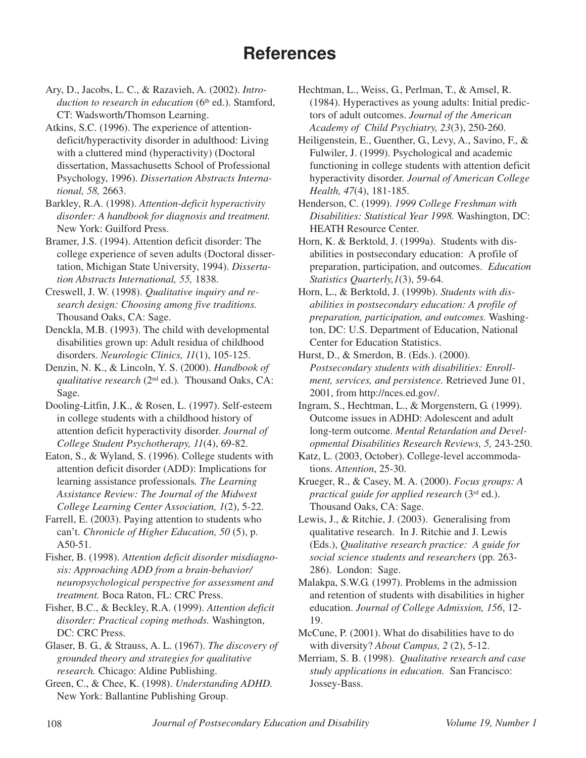# **References**

- Ary, D., Jacobs, L. C., & Razavieh, A. (2002). *Intro*duction to research in education (6<sup>th</sup> ed.). Stamford, CT: Wadsworth/Thomson Learning.
- Atkins, S.C. (1996). The experience of attentiondeficit/hyperactivity disorder in adulthood: Living with a cluttered mind (hyperactivity) (Doctoral dissertation, Massachusetts School of Professional Psychology, 1996). *Dissertation Abstracts International, 58,* 2663.
- Barkley, R.A. (1998). *Attention-deficit hyperactivity disorder: A handbook for diagnosis and treatment.* New York: Guilford Press.
- Bramer, J.S. (1994). Attention deficit disorder: The college experience of seven adults (Doctoral dissertation, Michigan State University, 1994). *Dissertation Abstracts International, 55,* 1838.
- Creswell, J. W. (1998). *Qualitative inquiry and research design: Choosing among five traditions.* Thousand Oaks, CA: Sage.
- Denckla, M.B. (1993). The child with developmental disabilities grown up: Adult residua of childhood disorders. *Neurologic Clinics, 11*(1), 105-125.
- Denzin, N. K., & Lincoln, Y. S. (2000). *Handbook of qualitative research* (2nd ed.)*.* Thousand Oaks, CA: Sage.
- Dooling-Litfin, J.K., & Rosen, L. (1997). Self-esteem in college students with a childhood history of attention deficit hyperactivity disorder. *Journal of College Student Psychotherapy, 11*(4), 69-82.
- Eaton, S., & Wyland, S. (1996). College students with attention deficit disorder (ADD): Implications for learning assistance professionals*. The Learning Assistance Review: The Journal of the Midwest College Learning Center Association, 1*(2), 5-22.
- Farrell, E. (2003). Paying attention to students who can't. *Chronicle of Higher Education, 50* (5), p. A50-51.
- Fisher, B. (1998). *Attention deficit disorder misdiagnosis: Approaching ADD from a brain-behavior/ neuropsychological perspective for assessment and treatment.* Boca Raton, FL: CRC Press.
- Fisher, B.C., & Beckley, R.A. (1999). *Attention deficit disorder: Practical coping methods.* Washington, DC: CRC Press.
- Glaser, B. G., & Strauss, A. L. (1967). *The discovery of grounded theory and strategies for qualitative research.* Chicago: Aldine Publishing.
- Green, C., & Chee, K. (1998). *Understanding ADHD.* New York: Ballantine Publishing Group.
- Hechtman, L., Weiss, G., Perlman, T., & Amsel, R. (1984). Hyperactives as young adults: Initial predictors of adult outcomes. *Journal of the American Academy of Child Psychiatry, 23*(3), 250-260.
- Heiligenstein, E., Guenther, G., Levy, A., Savino, F., & Fulwiler, J. (1999). Psychological and academic functioning in college students with attention deficit hyperactivity disorder. *Journal of American College Health, 47*(4), 181-185.
- Henderson, C. (1999). *1999 College Freshman with Disabilities: Statistical Year 1998.* Washington, DC: HEATH Resource Center.
- Horn, K. & Berktold, J. (1999a). Students with disabilities in postsecondary education: A profile of preparation, participation, and outcomes. *Education Statistics Quarterly,1*(3), 59-64.
- Horn, L., & Berktold, J. (1999b). *Students with disabilities in postsecondary education: A profile of preparation, participation, and outcomes.* Washington, DC: U.S. Department of Education, National Center for Education Statistics.
- Hurst, D., & Smerdon, B. (Eds.). (2000). *Postsecondary students with disabilities: Enrollment, services, and persistence.* Retrieved June 01, 2001, from http://nces.ed.gov/.
- Ingram, S., Hechtman, L., & Morgenstern, G. (1999). Outcome issues in ADHD: Adolescent and adult long-term outcome. *Mental Retardation and Developmental Disabilities Research Reviews, 5,* 243-250.
- Katz, L. (2003, October). College-level accommodations. *Attention*, 25-30.
- Krueger, R., & Casey, M. A. (2000). *Focus groups: A practical guide for applied research* (3rd ed.). Thousand Oaks, CA: Sage.
- Lewis, J., & Ritchie, J. (2003). Generalising from qualitative research. In J. Ritchie and J. Lewis (Eds.), *Qualitative research practice: A guide for social science students and researchers* (pp. 263- 286). London: Sage.
- Malakpa, S.W.G. (1997). Problems in the admission and retention of students with disabilities in higher education. *Journal of College Admission, 156*, 12- 19.
- McCune, P. (2001). What do disabilities have to do with diversity? *About Campus, 2* (2), 5-12.
- Merriam, S. B. (1998). *Qualitative research and case study applications in education.* San Francisco: Jossey-Bass.